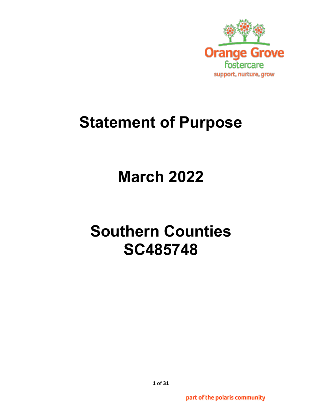

## **Statement of Purpose**

# **March 2022**

# **Southern Counties SC485748**

part of the polaris community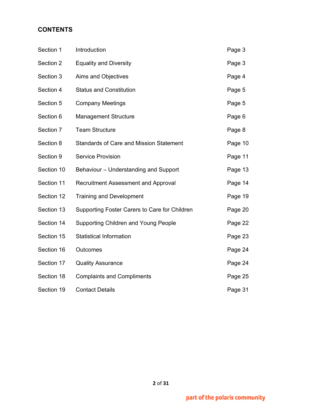## **CONTENTS**

| Section 1  | Introduction                                   | Page 3  |
|------------|------------------------------------------------|---------|
| Section 2  | <b>Equality and Diversity</b>                  | Page 3  |
| Section 3  | Aims and Objectives                            | Page 4  |
| Section 4  | <b>Status and Constitution</b>                 | Page 5  |
| Section 5  | <b>Company Meetings</b>                        | Page 5  |
| Section 6  | <b>Management Structure</b>                    | Page 6  |
| Section 7  | <b>Team Structure</b>                          | Page 8  |
| Section 8  | <b>Standards of Care and Mission Statement</b> | Page 10 |
| Section 9  | <b>Service Provision</b>                       | Page 11 |
| Section 10 | Behaviour - Understanding and Support          | Page 13 |
| Section 11 | <b>Recruitment Assessment and Approval</b>     | Page 14 |
| Section 12 | <b>Training and Development</b>                | Page 19 |
| Section 13 | Supporting Foster Carers to Care for Children  | Page 20 |
| Section 14 | <b>Supporting Children and Young People</b>    | Page 22 |
| Section 15 | <b>Statistical Information</b>                 | Page 23 |
| Section 16 | Outcomes                                       | Page 24 |
| Section 17 | <b>Quality Assurance</b>                       | Page 24 |
| Section 18 | <b>Complaints and Compliments</b>              | Page 25 |
| Section 19 | <b>Contact Details</b>                         | Page 31 |

**2** of **31**

part of the polaris community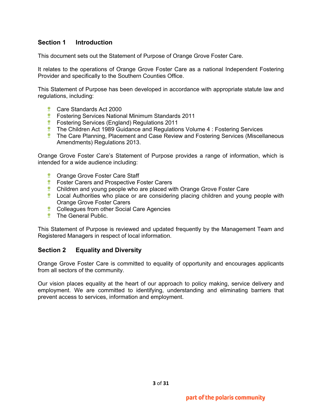## **Section 1 Introduction**

This document sets out the Statement of Purpose of Orange Grove Foster Care.

It relates to the operations of Orange Grove Foster Care as a national Independent Fostering Provider and specifically to the Southern Counties Office.

This Statement of Purpose has been developed in accordance with appropriate statute law and regulations, including:

- **Care Standards Act 2000**
- **Fostering Services National Minimum Standards 2011**
- **EXECUTE:** Fostering Services (England) Regulations 2011
- **The Children Act 1989 Guidance and Regulations Volume 4 : Fostering Services**
- **The Care Planning, Placement and Case Review and Fostering Services (Miscellaneous** Amendments) Regulations 2013.

Orange Grove Foster Care's Statement of Purpose provides a range of information, which is intended for a wide audience including:

- **<sup>\*</sup>** Orange Grove Foster Care Staff
- **EX EXECUTE:** Foster Carers and Prospective Foster Carers
- **Children and young people who are placed with Orange Grove Foster Care**
- **Local Authorities who place or are considering placing children and young people with** Orange Grove Foster Carers
- **Colleagues from other Social Care Agencies**
- **The General Public.**

This Statement of Purpose is reviewed and updated frequently by the Management Team and Registered Managers in respect of local information.

#### **Section 2 Equality and Diversity**

Orange Grove Foster Care is committed to equality of opportunity and encourages applicants from all sectors of the community.

Our vision places equality at the heart of our approach to policy making, service delivery and employment. We are committed to identifying, understanding and eliminating barriers that prevent access to services, information and employment.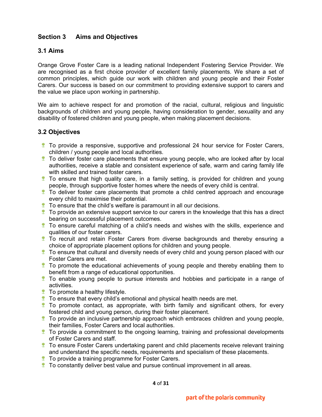## **Section 3 Aims and Objectives**

## **3.1 Aims**

Orange Grove Foster Care is a leading national Independent Fostering Service Provider. We are recognised as a first choice provider of excellent family placements. We share a set of common principles, which guide our work with children and young people and their Foster Carers. Our success is based on our commitment to providing extensive support to carers and the value we place upon working in partnership.

We aim to achieve respect for and promotion of the racial, cultural, religious and linguistic backgrounds of children and young people, having consideration to gender, sexuality and any disability of fostered children and young people, when making placement decisions.

## **3.2 Objectives**

- **The provide a responsive, supportive and professional 24 hour service for Foster Carers,** children / young people and local authorities.
- **T** To deliver foster care placements that ensure young people, who are looked after by local authorities, receive a stable and consistent experience of safe, warm and caring family life with skilled and trained foster carers.
- $\ddot{\ddot{\mathbf{}}}$  To ensure that high quality care, in a family setting, is provided for children and young people, through supportive foster homes where the needs of every child is central.
- **T** To deliver foster care placements that promote a child centred approach and encourage every child to maximise their potential.
- **To ensure that the child's welfare is paramount in all our decisions.**
- $\ddot{\ddot{\mathbf{x}}}$  To provide an extensive support service to our carers in the knowledge that this has a direct bearing on successful placement outcomes.
- $\ddot{\mathbf{r}}$  To ensure careful matching of a child's needs and wishes with the skills, experience and qualities of our foster carers.
- **To recruit and retain Foster Carers from diverse backgrounds and thereby ensuring a** choice of appropriate placement options for children and young people.
- **The ensure that cultural and diversity needs of every child and young person placed with our** Foster Carers are met.
- $\ddot{\ddot{\mathbf{r}}}$  To promote the educational achievements of young people and thereby enabling them to benefit from a range of educational opportunities.
- To enable young people to pursue interests and hobbies and participate in a range of activities.
- **To promote a healthy lifestyle.**
- $\hat{I}$  To ensure that every child's emotional and physical health needs are met.
- $\ddot{\ddot{\mathbf{x}}}$  To promote contact, as appropriate, with birth family and significant others, for every fostered child and young person, during their foster placement.
- **To provide an inclusive partnership approach which embraces children and young people,** their families, Foster Carers and local authorities.
- $\ddot{\ddot{\mathbf{r}}}$  To provide a commitment to the ongoing learning, training and professional developments of Foster Carers and staff.
- **The Foster Carers undertaking parent and child placements receive relevant training** and understand the specific needs, requirements and specialism of these placements.
- **To provide a training programme for Foster Carers.**
- $\bullet$  To constantly deliver best value and pursue continual improvement in all areas.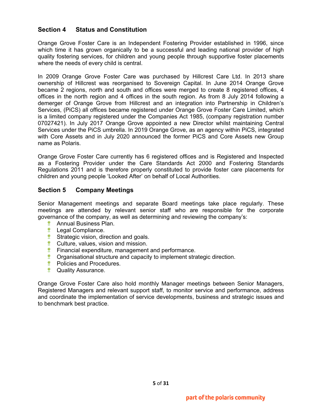## **Section 4 Status and Constitution**

Orange Grove Foster Care is an Independent Fostering Provider established in 1996, since which time it has grown organically to be a successful and leading national provider of high quality fostering services, for children and young people through supportive foster placements where the needs of every child is central.

In 2009 Orange Grove Foster Care was purchased by Hillcrest Care Ltd. In 2013 share ownership of Hillcrest was reorganised to Sovereign Capital. In June 2014 Orange Grove became 2 regions, north and south and offices were merged to create 8 registered offices, 4 offices in the north region and 4 offices in the south region. As from 8 July 2014 following a demerger of Orange Grove from Hillcrest and an integration into Partnership in Children's Services, (PiCS) all offices became registered under Orange Grove Foster Care Limited, which is a limited company registered under the Companies Act 1985, (company registration number 07027421). In July 2017 Orange Grove appointed a new Director whilst maintaining Central Services under the PiCS umbrella. In 2019 Orange Grove, as an agency within PiCS, integrated with Core Assets and in July 2020 announced the former PiCS and Core Assets new Group name as Polaris.

Orange Grove Foster Care currently has 6 registered offices and is Registered and Inspected as a Fostering Provider under the Care Standards Act 2000 and Fostering Standards Regulations 2011 and is therefore properly constituted to provide foster care placements for children and young people 'Looked After' on behalf of Local Authorities.

## **Section 5 Company Meetings**

Senior Management meetings and separate Board meetings take place regularly. These meetings are attended by relevant senior staff who are responsible for the corporate governance of the company, as well as determining and reviewing the company's:

- **<sup>\*</sup>** Annual Business Plan.
- **<sup>\*</sup>** Legal Compliance.
- **Strategic vision, direction and goals.**
- **Culture, values, vision and mission.**
- **Financial expenditure, management and performance.**
- **Componisational structure and capacity to implement strategic direction.**
- *\** Policies and Procedures.
- **<sup>\*</sup>** Quality Assurance.

Orange Grove Foster Care also hold monthly Manager meetings between Senior Managers, Registered Managers and relevant support staff, to monitor service and performance, address and coordinate the implementation of service developments, business and strategic issues and to benchmark best practice.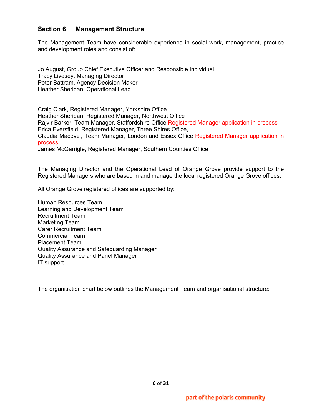#### **Section 6 Management Structure**

The Management Team have considerable experience in social work, management, practice and development roles and consist of:

Jo August, Group Chief Executive Officer and Responsible Individual Tracy Livesey, Managing Director Peter Battram, Agency Decision Maker Heather Sheridan, Operational Lead

Craig Clark, Registered Manager, Yorkshire Office Heather Sheridan, Registered Manager, Northwest Office Rajvir Barker, Team Manager, Staffordshire Office Registered Manager application in process Erica Eversfield, Registered Manager, Three Shires Office, Claudia Macovei, Team Manager, London and Essex Office Registered Manager application in process James McGarrigle, Registered Manager, Southern Counties Office

The Managing Director and the Operational Lead of Orange Grove provide support to the Registered Managers who are based in and manage the local registered Orange Grove offices.

All Orange Grove registered offices are supported by:

Human Resources Team Learning and Development Team Recruitment Team Marketing Team Carer Recruitment Team Commercial Team Placement Team Quality Assurance and Safeguarding Manager Quality Assurance and Panel Manager IT support

The organisation chart below outlines the Management Team and organisational structure: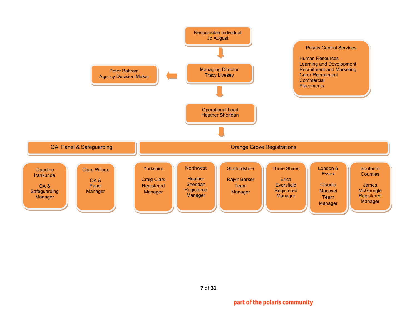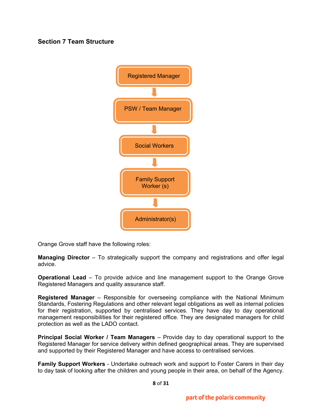## **Section 7 Team Structure**



Orange Grove staff have the following roles:

**Managing Director** – To strategically support the company and registrations and offer legal advice.

**Operational Lead** – To provide advice and line management support to the Orange Grove Registered Managers and quality assurance staff.

**Registered Manager** – Responsible for overseeing compliance with the National Minimum Standards, Fostering Regulations and other relevant legal obligations as well as internal policies for their registration, supported by centralised services. They have day to day operational management responsibilities for their registered office. They are designated managers for child protection as well as the LADO contact.

**Principal Social Worker / Team Managers** – Provide day to day operational support to the Registered Manager for service delivery within defined geographical areas. They are supervised and supported by their Registered Manager and have access to centralised services.

**Family Support Workers** - Undertake outreach work and support to Foster Carers in their day to day task of looking after the children and young people in their area, on behalf of the Agency.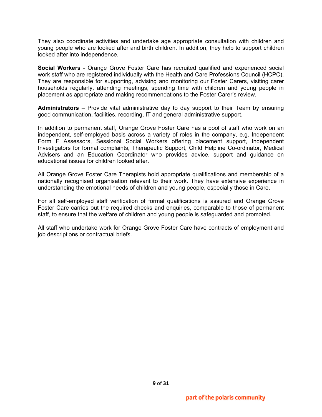They also coordinate activities and undertake age appropriate consultation with children and young people who are looked after and birth children. In addition, they help to support children looked after into independence.

**Social Workers** - Orange Grove Foster Care has recruited qualified and experienced social work staff who are registered individually with the Health and Care Professions Council (HCPC). They are responsible for supporting, advising and monitoring our Foster Carers, visiting carer households regularly, attending meetings, spending time with children and young people in placement as appropriate and making recommendations to the Foster Carer's review.

**Administrators** – Provide vital administrative day to day support to their Team by ensuring good communication, facilities, recording, IT and general administrative support.

In addition to permanent staff, Orange Grove Foster Care has a pool of staff who work on an independent, self-employed basis across a variety of roles in the company, e.g. Independent Form F Assessors, Sessional Social Workers offering placement support, Independent Investigators for formal complaints, Therapeutic Support, Child Helpline Co-ordinator, Medical Advisers and an Education Coordinator who provides advice, support and guidance on educational issues for children looked after.

All Orange Grove Foster Care Therapists hold appropriate qualifications and membership of a nationally recognised organisation relevant to their work. They have extensive experience in understanding the emotional needs of children and young people, especially those in Care.

For all self-employed staff verification of formal qualifications is assured and Orange Grove Foster Care carries out the required checks and enquiries, comparable to those of permanent staff, to ensure that the welfare of children and young people is safeguarded and promoted.

All staff who undertake work for Orange Grove Foster Care have contracts of employment and job descriptions or contractual briefs.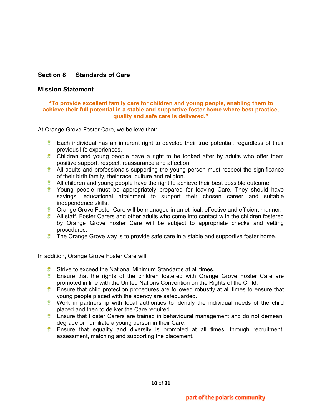## **Section 8 Standards of Care**

#### **Mission Statement**

#### **"To provide excellent family care for children and young people, enabling them to achieve their full potential in a stable and supportive foster home where best practice, quality and safe care is delivered."**

At Orange Grove Foster Care, we believe that:

- **Each individual has an inherent right to develop their true potential, regardless of their** previous life experiences.
- **Children and young people have a right to be looked after by adults who offer them** positive support, respect, reassurance and affection.
- **All adults and professionals supporting the young person must respect the significance** of their birth family, their race, culture and religion.
- $\bullet$  All children and young people have the right to achieve their best possible outcome.
- **\*** Young people must be appropriately prepared for leaving Care. They should have savings, educational attainment to support their chosen career and suitable independence skills.
- **Crange Grove Foster Care will be managed in an ethical, effective and efficient manner.**
- **All staff, Foster Carers and other adults who come into contact with the children fostered** by Orange Grove Foster Care will be subject to appropriate checks and vetting procedures.
- $\bullet$  The Orange Grove way is to provide safe care in a stable and supportive foster home.

In addition, Orange Grove Foster Care will:

- Strive to exceed the National Minimum Standards at all times.
- **Ensure that the rights of the children fostered with Orange Grove Foster Care are** promoted in line with the United Nations Convention on the Rights of the Child.
- **Ensure that child protection procedures are followed robustly at all times to ensure that** young people placed with the agency are safeguarded.
- $\bullet$  Work in partnership with local authorities to identify the individual needs of the child placed and then to deliver the Care required.
- **Ensure that Foster Carers are trained in behavioural management and do not demean,** degrade or humiliate a young person in their Care.
- **Ensure that equality and diversity is promoted at all times: through recruitment,** assessment, matching and supporting the placement.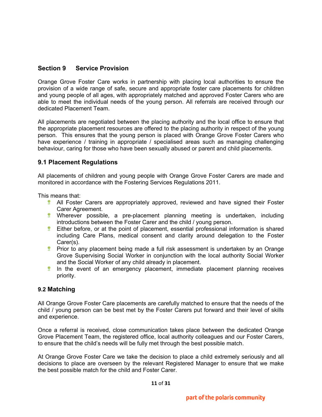## **Section 9 Service Provision**

Orange Grove Foster Care works in partnership with placing local authorities to ensure the provision of a wide range of safe, secure and appropriate foster care placements for children and young people of all ages, with appropriately matched and approved Foster Carers who are able to meet the individual needs of the young person. All referrals are received through our dedicated Placement Team.

All placements are negotiated between the placing authority and the local office to ensure that the appropriate placement resources are offered to the placing authority in respect of the young person. This ensures that the young person is placed with Orange Grove Foster Carers who have experience / training in appropriate / specialised areas such as managing challenging behaviour, caring for those who have been sexually abused or parent and child placements.

## **9.1 Placement Regulations**

All placements of children and young people with Orange Grove Foster Carers are made and monitored in accordance with the Fostering Services Regulations 2011.

This means that:

- **All Foster Carers are appropriately approved, reviewed and have signed their Foster** Carer Agreement.
- Wherever possible, a pre-placement planning meeting is undertaken, including introductions between the Foster Carer and the child / young person.
- **Either before, or at the point of placement, essential professional information is shared** including Care Plans, medical consent and clarity around delegation to the Foster Carer(s).
- **Prior to any placement being made a full risk assessment is undertaken by an Orange** Grove Supervising Social Worker in conjunction with the local authority Social Worker and the Social Worker of any child already in placement.
- In the event of an emergency placement, immediate placement planning receives priority.

## **9.2 Matching**

All Orange Grove Foster Care placements are carefully matched to ensure that the needs of the child / young person can be best met by the Foster Carers put forward and their level of skills and experience.

Once a referral is received, close communication takes place between the dedicated Orange Grove Placement Team, the registered office, local authority colleagues and our Foster Carers, to ensure that the child's needs will be fully met through the best possible match.

At Orange Grove Foster Care we take the decision to place a child extremely seriously and all decisions to place are overseen by the relevant Registered Manager to ensure that we make the best possible match for the child and Foster Carer.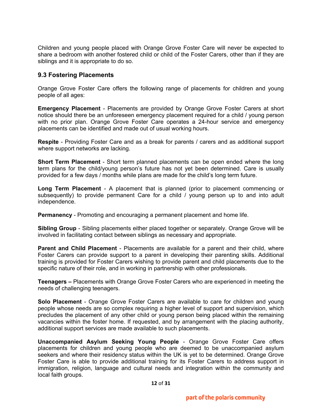Children and young people placed with Orange Grove Foster Care will never be expected to share a bedroom with another fostered child or child of the Foster Carers, other than if they are siblings and it is appropriate to do so.

#### **9.3 Fostering Placements**

Orange Grove Foster Care offers the following range of placements for children and young people of all ages:

**Emergency Placement** - Placements are provided by Orange Grove Foster Carers at short notice should there be an unforeseen emergency placement required for a child / young person with no prior plan. Orange Grove Foster Care operates a 24-hour service and emergency placements can be identified and made out of usual working hours.

**Respite** - Providing Foster Care and as a break for parents / carers and as additional support where support networks are lacking.

**Short Term Placement** - Short term planned placements can be open ended where the long term plans for the child/young person's future has not yet been determined. Care is usually provided for a few days / months while plans are made for the child's long term future.

**Long Term Placement** - A placement that is planned (prior to placement commencing or subsequently) to provide permanent Care for a child / young person up to and into adult independence.

**Permanency** - Promoting and encouraging a permanent placement and home life.

**Sibling Group** - Sibling placements either placed together or separately. Orange Grove will be involved in facilitating contact between siblings as necessary and appropriate.

**Parent and Child Placement** - Placements are available for a parent and their child, where Foster Carers can provide support to a parent in developing their parenting skills. Additional training is provided for Foster Carers wishing to provide parent and child placements due to the specific nature of their role, and in working in partnership with other professionals.

**Teenagers –** Placements with Orange Grove Foster Carers who are experienced in meeting the needs of challenging teenagers.

**Solo Placement** - Orange Grove Foster Carers are available to care for children and young people whose needs are so complex requiring a higher level of support and supervision, which precludes the placement of any other child or young person being placed within the remaining vacancies within the foster home. If requested, and by arrangement with the placing authority, additional support services are made available to such placements.

**Unaccompanied Asylum Seeking Young People** - Orange Grove Foster Care offers placements for children and young people who are deemed to be unaccompanied asylum seekers and where their residency status within the UK is yet to be determined. Orange Grove Foster Care is able to provide additional training for its Foster Carers to address support in immigration, religion, language and cultural needs and integration within the community and local faith groups.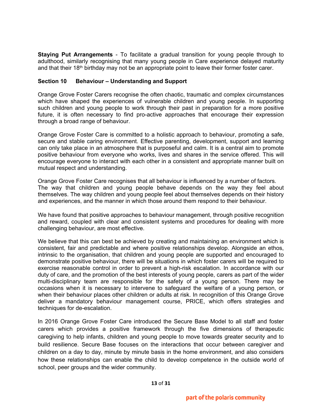**Staying Put Arrangements** - To facilitate a gradual transition for young people through to adulthood, similarly recognising that many young people in Care experience delayed maturity and that their 18<sup>th</sup> birthday may not be an appropriate point to leave their former foster carer.

#### **Section 10 Behaviour – Understanding and Support**

Orange Grove Foster Carers recognise the often chaotic, traumatic and complex circumstances which have shaped the experiences of vulnerable children and young people. In supporting such children and young people to work through their past in preparation for a more positive future, it is often necessary to find pro-active approaches that encourage their expression through a broad range of behaviour.

Orange Grove Foster Care is committed to a holistic approach to behaviour, promoting a safe, secure and stable caring environment. Effective parenting, development, support and learning can only take place in an atmosphere that is purposeful and calm. It is a central aim to promote positive behaviour from everyone who works, lives and shares in the service offered. This will encourage everyone to interact with each other in a consistent and appropriate manner built on mutual respect and understanding.

Orange Grove Foster Care recognises that all behaviour is influenced by a number of factors. The way that children and young people behave depends on the way they feel about themselves. The way children and young people feel about themselves depends on their history and experiences, and the manner in which those around them respond to their behaviour.

We have found that positive approaches to behaviour management, through positive recognition and reward, coupled with clear and consistent systems and procedures for dealing with more challenging behaviour, are most effective.

We believe that this can best be achieved by creating and maintaining an environment which is consistent, fair and predictable and where positive relationships develop. Alongside an ethos, intrinsic to the organisation, that children and young people are supported and encouraged to demonstrate positive behaviour, there will be situations in which foster carers will be required to exercise reasonable control in order to prevent a high-risk escalation. In accordance with our duty of care, and the promotion of the best interests of young people, carers as part of the wider multi-disciplinary team are responsible for the safety of a young person. There may be occasions when it is necessary to intervene to safeguard the welfare of a young person, or when their behaviour places other children or adults at risk. In recognition of this Orange Grove deliver a mandatory behaviour management course, PRICE, which offers strategies and techniques for de-escalation.

In 2016 Orange Grove Foster Care introduced the Secure Base Model to all staff and foster carers which provides a positive framework through the five dimensions of therapeutic caregiving to help infants, children and young people to move towards greater security and to build resilience. Secure Base focuses on the interactions that occur between caregiver and children on a day to day, minute by minute basis in the home environment, and also considers how these relationships can enable the child to develop competence in the outside world of school, peer groups and the wider community.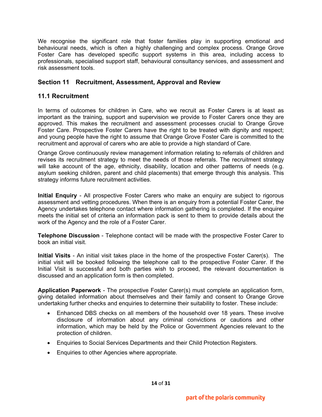We recognise the significant role that foster families play in supporting emotional and behavioural needs, which is often a highly challenging and complex process. Orange Grove Foster Care has developed specific support systems in this area, including access to professionals, specialised support staff, behavioural consultancy services, and assessment and risk assessment tools.

## **Section 11 Recruitment, Assessment, Approval and Review**

## **11.1 Recruitment**

In terms of outcomes for children in Care, who we recruit as Foster Carers is at least as important as the training, support and supervision we provide to Foster Carers once they are approved. This makes the recruitment and assessment processes crucial to Orange Grove Foster Care. Prospective Foster Carers have the right to be treated with dignity and respect; and young people have the right to assume that Orange Grove Foster Care is committed to the recruitment and approval of carers who are able to provide a high standard of Care.

Orange Grove continuously review management information relating to referrals of children and revises its recruitment strategy to meet the needs of those referrals. The recruitment strategy will take account of the age, ethnicity, disability, location and other patterns of needs (e.g. asylum seeking children, parent and child placements) that emerge through this analysis. This strategy informs future recruitment activities.

**Initial Enquiry** - All prospective Foster Carers who make an enquiry are subject to rigorous assessment and vetting procedures. When there is an enquiry from a potential Foster Carer, the Agency undertakes telephone contact where information gathering is completed. If the enquirer meets the initial set of criteria an information pack is sent to them to provide details about the work of the Agency and the role of a Foster Carer.

**Telephone Discussion** - Telephone contact will be made with the prospective Foster Carer to book an initial visit.

**Initial Visits** - An initial visit takes place in the home of the prospective Foster Carer(s). The initial visit will be booked following the telephone call to the prospective Foster Carer. If the Initial Visit is successful and both parties wish to proceed, the relevant documentation is discussed and an application form is then completed.

**Application Paperwork** - The prospective Foster Carer(s) must complete an application form, giving detailed information about themselves and their family and consent to Orange Grove undertaking further checks and enquiries to determine their suitability to foster. These include:

- Enhanced DBS checks on all members of the household over 18 years. These involve disclosure of information about any criminal convictions or cautions and other information, which may be held by the Police or Government Agencies relevant to the protection of children.
- Enquiries to Social Services Departments and their Child Protection Registers.
- Enquiries to other Agencies where appropriate.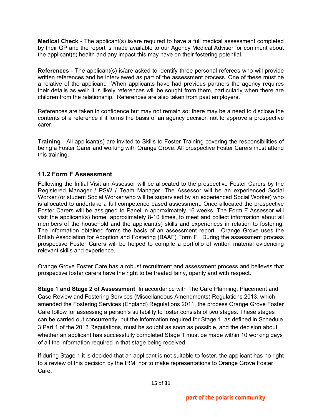**Medical Check** - The applicant(s) is/are required to have a full medical assessment completed by their GP and the report is made available to our Agency Medical Adviser for comment about the applicant(s) health and any impact this may have on their fostering potential.

**References** - The applicant(s) is/are asked to identify three personal referees who will provide written references and be interviewed as part of the assessment process. One of these must be a relative of the applicant. When applicants have had previous partners the agency requires their details as well: it is likely references will be sought from them, particularly when there are children from the relationship. References are also taken from past employers.

References are taken in confidence but may not remain so: there may be a need to disclose the contents of a reference if it forms the basis of an agency decision not to approve a prospective carer.

**Training** - All applicant(s) are invited to Skills to Foster Training covering the responsibilities of being a Foster Carer and working with Orange Grove. All prospective Foster Carers must attend this training.

## **11.2 Form F Assessment**

Following the Initial Visit an Assessor will be allocated to the prospective Foster Carers by the Registered Manager / PSW / Team Manager. The Assessor will be an experienced Social Worker (or student Social Worker who will be supervised by an experienced Social Worker) who is allocated to undertake a full competence based assessment. Once allocated the prospective Foster Carers will be assigned to Panel in approximately 16 weeks. The Form F Assessor will visit the applicant(s) home, approximately 8-10 times, to meet and collect information about all members of the household and the applicant(s) skills and experiences in relation to fostering. The information obtained forms the basis of an assessment report. Orange Grove uses the British Association for Adoption and Fostering (BAAF) Form F. During the assessment process prospective Foster Carers will be helped to compile a portfolio of written material evidencing relevant skills and experience.

Orange Grove Foster Care has a robust recruitment and assessment process and believes that prospective foster carers have the right to be treated fairly, openly and with respect.

**Stage 1 and Stage 2 of Assessment**: In accordance with The Care Planning, Placement and Case Review and Fostering Services (Miscellaneous Amendments) Regulations 2013, which amended the Fostering Services (England) Regulations 2011, the process Orange Grove Foster Care follow for assessing a person's suitability to foster consists of two stages. These stages can be carried out concurrently, but the information required for Stage 1, as defined in Schedule 3 Part 1 of the 2013 Regulations, must be sought as soon as possible, and the decision about whether an applicant has successfully completed Stage 1 must be made within 10 working days of all the information required in that stage being received.

If during Stage 1 it is decided that an applicant is not suitable to foster, the applicant has no right to a review of this decision by the IRM, nor to make representations to Orange Grove Foster Care.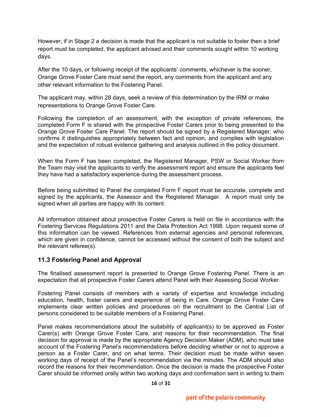However, if in Stage 2 a decision is made that the applicant is not suitable to foster then a brief report must be completed, the applicant advised and their comments sought within 10 working days.

After the 10 days, or following receipt of the applicants' comments, whichever is the sooner, Orange Grove Foster Care must send the report, any comments from the applicant and any other relevant information to the Fostering Panel.

The applicant may, within 28 days, seek a review of this determination by the IRM or make representations to Orange Grove Foster Care.

Following the completion of an assessment, with the exception of private references, the completed Form F is shared with the prospective Foster Carers prior to being presented to the Orange Grove Foster Care Panel. The report should be signed by a Registered Manager, who confirms it distinguishes appropriately between fact and opinion, and complies with legislation and the expectation of robust evidence gathering and analysis outlined in the policy document.

When the Form F has been completed, the Registered Manager, PSW or Social Worker from the Team may visit the applicants to verify the assessment report and ensure the applicants feel they have had a satisfactory experience during the assessment process.

Before being submitted to Panel the completed Form F report must be accurate, complete and signed by the applicants, the Assessor and the Registered Manager. A report must only be signed when all parties are happy with its content.

All information obtained about prospective Foster Carers is held on file in accordance with the Fostering Services Regulations 2011 and the Data Protection Act 1998. Upon request some of this information can be viewed. References from external agencies and personal references, which are given in confidence, cannot be accessed without the consent of both the subject and the relevant referee(s).

## **11.3 Fostering Panel and Approval**

The finalised assessment report is presented to Orange Grove Fostering Panel. There is an expectation that all prospective Foster Carers attend Panel with their Assessing Social Worker.

Fostering Panel consists of members with a variety of expertise and knowledge including education, health, foster carers and experience of being in Care. Orange Grove Foster Care implements clear written policies and procedures on the recruitment to the Central List of persons considered to be suitable members of a Fostering Panel.

Panel makes recommendations about the suitability of applicant(s) to be approved as Foster Carer(s) with Orange Grove Foster Care, and reasons for their recommendation. The final decision for approval is made by the appropriate Agency Decision Maker (ADM), who must take account of the Fostering Panel's recommendations before deciding whether or not to approve a person as a Foster Carer, and on what terms. Their decision must be made within seven working days of receipt of the Panel's recommendation via the minutes. The ADM should also record the reasons for their recommendation. Once the decision is made the prospective Foster Carer should be informed orally within two working days and confirmation sent in writing to them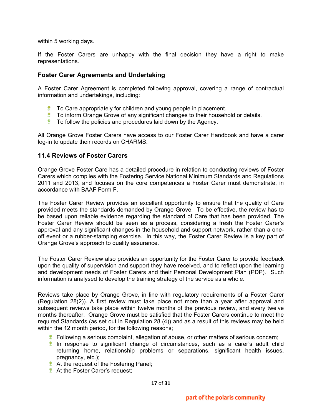within 5 working days.

If the Foster Carers are unhappy with the final decision they have a right to make representations.

#### **Foster Carer Agreements and Undertaking**

A Foster Carer Agreement is completed following approval, covering a range of contractual information and undertakings, including:

- To Care appropriately for children and young people in placement.
- **T** To inform Orange Grove of any significant changes to their household or details.
- $\bullet$  To follow the policies and procedures laid down by the Agency.

All Orange Grove Foster Carers have access to our Foster Carer Handbook and have a carer log-in to update their records on CHARMS.

#### **11.4 Reviews of Foster Carers**

Orange Grove Foster Care has a detailed procedure in relation to conducting reviews of Foster Carers which complies with the Fostering Service National Minimum Standards and Regulations 2011 and 2013, and focuses on the core competences a Foster Carer must demonstrate, in accordance with BAAF Form F.

The Foster Carer Review provides an excellent opportunity to ensure that the quality of Care provided meets the standards demanded by Orange Grove. To be effective, the review has to be based upon reliable evidence regarding the standard of Care that has been provided. The Foster Carer Review should be seen as a process, considering a fresh the Foster Carer's approval and any significant changes in the household and support network, rather than a oneoff event or a rubber-stamping exercise. In this way, the Foster Carer Review is a key part of Orange Grove's approach to quality assurance.

The Foster Carer Review also provides an opportunity for the Foster Carer to provide feedback upon the quality of supervision and support they have received, and to reflect upon the learning and development needs of Foster Carers and their Personal Development Plan (PDP). Such information is analysed to develop the training strategy of the service as a whole.

Reviews take place by Orange Grove, in line with regulatory requirements of a Foster Carer (Regulation 28(2)). A first review must take place not more than a year after approval and subsequent reviews take place within twelve months of the previous review, and every twelve months thereafter. Orange Grove must be satisfied that the Foster Carers continue to meet the required Standards (as set out in Regulation 28 (4)) and as a result of this reviews may be held within the 12 month period, for the following reasons:

- $\bullet$  Following a serious complaint, allegation of abuse, or other matters of serious concern;
- **In response to significant change of circumstances, such as a carer's adult child** returning home, relationship problems or separations, significant health issues, pregnancy, etc.);
- **At the request of the Fostering Panel;**
- **At the Foster Carer's request;**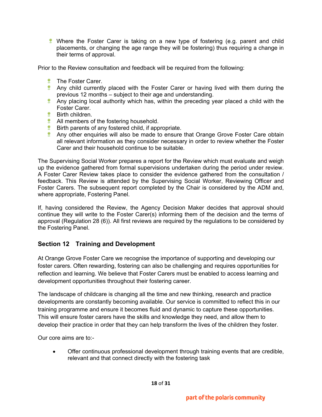**Where the Foster Carer is taking on a new type of fostering (e.g. parent and child** placements, or changing the age range they will be fostering) thus requiring a change in their terms of approval.

Prior to the Review consultation and feedback will be required from the following:

- **<sup>\*</sup>** The Foster Carer.
- **Any child currently placed with the Foster Carer or having lived with them during the** previous 12 months – subject to their age and understanding.
- **Any placing local authority which has, within the preceding year placed a child with the** Foster Carer.
- *\** Birth children.
- **All members of the fostering household.**
- **Birth parents of any fostered child, if appropriate.**
- **Any other enquiries will also be made to ensure that Orange Grove Foster Care obtain** all relevant information as they consider necessary in order to review whether the Foster Carer and their household continue to be suitable.

The Supervising Social Worker prepares a report for the Review which must evaluate and weigh up the evidence gathered from formal supervisions undertaken during the period under review. A Foster Carer Review takes place to consider the evidence gathered from the consultation / feedback. This Review is attended by the Supervising Social Worker, Reviewing Officer and Foster Carers. The subsequent report completed by the Chair is considered by the ADM and, where appropriate, Fostering Panel.

If, having considered the Review, the Agency Decision Maker decides that approval should continue they will write to the Foster Carer(s) informing them of the decision and the terms of approval (Regulation 28 (6)). All first reviews are required by the regulations to be considered by the Fostering Panel.

#### **Section 12 Training and Development**

At Orange Grove Foster Care we recognise the importance of supporting and developing our foster carers. Often rewarding, fostering can also be challenging and requires opportunities for reflection and learning. We believe that Foster Carers must be enabled to access learning and development opportunities throughout their fostering career.

The landscape of childcare is changing all the time and new thinking, research and practice developments are constantly becoming available. Our service is committed to reflect this in our training programme and ensure it becomes fluid and dynamic to capture these opportunities. This will ensure foster carers have the skills and knowledge they need, and allow them to develop their practice in order that they can help transform the lives of the children they foster.

Our core aims are to:-

• Offer continuous professional development through training events that are credible, relevant and that connect directly with the fostering task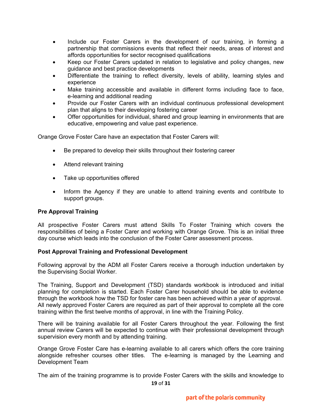- Include our Foster Carers in the development of our training, in forming a partnership that commissions events that reflect their needs, areas of interest and affords opportunities for sector recognised qualifications
- Keep our Foster Carers updated in relation to legislative and policy changes, new guidance and best practice developments
- Differentiate the training to reflect diversity, levels of ability, learning styles and experience
- Make training accessible and available in different forms including face to face, e-learning and additional reading
- Provide our Foster Carers with an individual continuous professional development plan that aligns to their developing fostering career
- Offer opportunities for individual, shared and group learning in environments that are educative, empowering and value past experience.

Orange Grove Foster Care have an expectation that Foster Carers will:

- Be prepared to develop their skills throughout their fostering career
- Attend relevant training
- Take up opportunities offered
- Inform the Agency if they are unable to attend training events and contribute to support groups.

#### **Pre Approval Training**

All prospective Foster Carers must attend Skills To Foster Training which covers the responsibilities of being a Foster Carer and working with Orange Grove. This is an initial three day course which leads into the conclusion of the Foster Carer assessment process.

#### **Post Approval Training and Professional Development**

Following approval by the ADM all Foster Carers receive a thorough induction undertaken by the Supervising Social Worker.

The Training, Support and Development (TSD) standards workbook is introduced and initial planning for completion is started. Each Foster Carer household should be able to evidence through the workbook how the TSD for foster care has been achieved within a year of approval. All newly approved Foster Carers are required as part of their approval to complete all the core training within the first twelve months of approval, in line with the Training Policy.

There will be training available for all Foster Carers throughout the year. Following the first annual review Carers will be expected to continue with their professional development through supervision every month and by attending training.

Orange Grove Foster Care has e-learning available to all carers which offers the core training alongside refresher courses other titles. The e-learning is managed by the Learning and Development Team

The aim of the training programme is to provide Foster Carers with the skills and knowledge to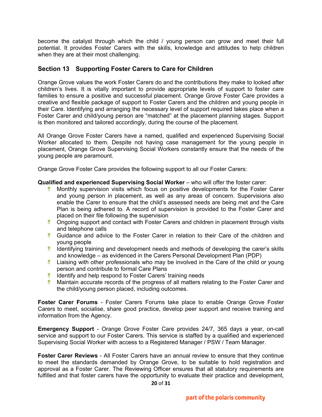become the catalyst through which the child / young person can grow and meet their full potential. It provides Foster Carers with the skills, knowledge and attitudes to help children when they are at their most challenging.

## **Section 13 Supporting Foster Carers to Care for Children**

Orange Grove values the work Foster Carers do and the contributions they make to looked after children's lives. It is vitally important to provide appropriate levels of support to foster care families to ensure a positive and successful placement. Orange Grove Foster Care provides a creative and flexible package of support to Foster Carers and the children and young people in their Care. Identifying and arranging the necessary level of support required takes place when a Foster Carer and child/young person are "matched" at the placement planning stages. Support is then monitored and tailored accordingly, during the course of the placement.

All Orange Grove Foster Carers have a named, qualified and experienced Supervising Social Worker allocated to them. Despite not having case management for the young people in placement, Orange Grove Supervising Social Workers constantly ensure that the needs of the young people are paramount.

Orange Grove Foster Care provides the following support to all our Foster Carers:

#### **Qualified and experienced Supervising Social Worker** – who will offer the foster carer:

- **Monthly supervision visits which focus on positive developments for the Foster Carer** and young person in placement, as well as any areas of concern. Supervisions also enable the Carer to ensure that the child's assessed needs are being met and the Care Plan is being adhered to. A record of supervision is provided to the Foster Carer and placed on their file following the supervision
- **Congoing support and contact with Foster Carers and children in placement through visits** and telephone calls
- Guidance and advice to the Foster Carer in relation to their Care of the children and young people
- $\bullet$  Identifying training and development needs and methods of developing the carer's skills and knowledge – as evidenced in the Carers Personal Development Plan (PDP)
- **Liaising with other professionals who may be involved in the Care of the child or young** person and contribute to formal Care Plans
- **IDENTIFY And help respond to Foster Carers' training needs**
- **Maintain accurate records of the progress of all matters relating to the Foster Carer and** the child/young person placed, including outcomes.

**Foster Carer Forums** - Foster Carers Forums take place to enable Orange Grove Foster Carers to meet, socialise, share good practice, develop peer support and receive training and information from the Agency.

**Emergency Support** - Orange Grove Foster Care provides 24/7, 365 days a year, on-call service and support to our Foster Carers. This service is staffed by a qualified and experienced Supervising Social Worker with access to a Registered Manager / PSW / Team Manager.

**Foster Carer Reviews** - All Foster Carers have an annual review to ensure that they continue to meet the standards demanded by Orange Grove, to be suitable to hold registration and approval as a Foster Carer. The Reviewing Officer ensures that all statutory requirements are fulfilled and that foster carers have the opportunity to evaluate their practice and development,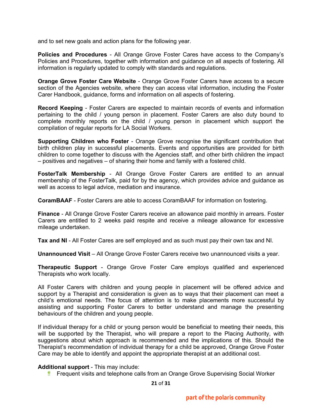and to set new goals and action plans for the following year.

**Policies and Procedures** - All Orange Grove Foster Cares have access to the Company's Policies and Procedures, together with information and guidance on all aspects of fostering. All information is regularly updated to comply with standards and regulations.

**Orange Grove Foster Care Website** - Orange Grove Foster Carers have access to a secure section of the Agencies website, where they can access vital information, including the Foster Carer Handbook, guidance, forms and information on all aspects of fostering.

**Record Keeping** - Foster Carers are expected to maintain records of events and information pertaining to the child / young person in placement. Foster Carers are also duty bound to complete monthly reports on the child / young person in placement which support the compilation of regular reports for LA Social Workers.

**Supporting Children who Foster** - Orange Grove recognise the significant contribution that birth children play in successful placements. Events and opportunities are provided for birth children to come together to discuss with the Agencies staff, and other birth children the impact – positives and negatives – of sharing their home and family with a fostered child.

**FosterTalk Membership** - All Orange Grove Foster Carers are entitled to an annual membership of the FosterTalk, paid for by the agency, which provides advice and guidance as well as access to legal advice, mediation and insurance.

**CoramBAAF** - Foster Carers are able to access CoramBAAF for information on fostering.

**Finance** - All Orange Grove Foster Carers receive an allowance paid monthly in arrears. Foster Carers are entitled to 2 weeks paid respite and receive a mileage allowance for excessive mileage undertaken.

**Tax and NI** - All Foster Cares are self employed and as such must pay their own tax and NI.

**Unannounced Visit** – All Orange Grove Foster Carers receive two unannounced visits a year.

**Therapeutic Support** - Orange Grove Foster Care employs qualified and experienced Therapists who work locally.

All Foster Carers with children and young people in placement will be offered advice and support by a Therapist and consideration is given as to ways that their placement can meet a child's emotional needs. The focus of attention is to make placements more successful by assisting and supporting Foster Carers to better understand and manage the presenting behaviours of the children and young people.

If individual therapy for a child or young person would be beneficial to meeting their needs, this will be supported by the Therapist, who will prepare a report to the Placing Authority, with suggestions about which approach is recommended and the implications of this. Should the Therapist's recommendation of individual therapy for a child be approved, Orange Grove Foster Care may be able to identify and appoint the appropriate therapist at an additional cost.

#### **Additional support** - This may include:

**Figuent visits and telephone calls from an Orange Grove Supervising Social Worker** 

**21** of **31**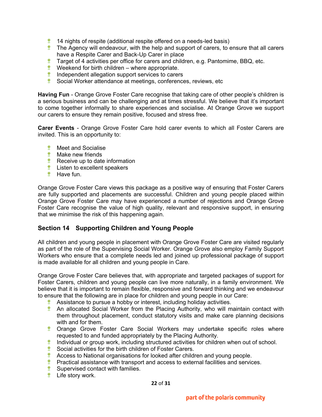- 14 nights of respite (additional respite offered on a needs-led basis)
- $\bullet$  The Agency will endeavour, with the help and support of carers, to ensure that all carers have a Respite Carer and Back-Up Carer in place
- **Target of 4 activities per office for carers and children, e.g. Pantomime, BBQ, etc.**
- $\bullet$  Weekend for birth children where appropriate.
- $\bullet$  Independent allegation support services to carers
- Social Worker attendance at meetings, conferences, reviews, etc

**Having Fun** - Orange Grove Foster Care recognise that taking care of other people's children is a serious business and can be challenging and at times stressful. We believe that it's important to come together informally to share experiences and socialise. At Orange Grove we support our carers to ensure they remain positive, focused and stress free.

**Carer Events** - Orange Grove Foster Care hold carer events to which all Foster Carers are invited. This is an opportunity to:

- **Meet and Socialise**
- **<sup>\*</sup>** Make new friends
- $\ddot{\mathbf{r}}$  Receive up to date information
- $*$  Listen to excellent speakers
- **<sup>\*</sup>** Have fun.

Orange Grove Foster Care views this package as a positive way of ensuring that Foster Carers are fully supported and placements are successful. Children and young people placed within Orange Grove Foster Care may have experienced a number of rejections and Orange Grove Foster Care recognise the value of high quality, relevant and responsive support, in ensuring that we minimise the risk of this happening again.

## **Section 14 Supporting Children and Young People**

All children and young people in placement with Orange Grove Foster Care are visited regularly as part of the role of the Supervising Social Worker. Orange Grove also employ Family Support Workers who ensure that a complete needs led and joined up professional package of support is made available for all children and young people in Care.

Orange Grove Foster Care believes that, with appropriate and targeted packages of support for Foster Carers, children and young people can live more naturally, in a family environment. We believe that it is important to remain flexible, responsive and forward thinking and we endeavour to ensure that the following are in place for children and young people in our Care:

- **Assistance to pursue a hobby or interest, including holiday activities.**
- **An allocated Social Worker from the Placing Authority, who will maintain contact with** them throughout placement, conduct statutory visits and make care planning decisions with and for them.
- **Crange Grove Foster Care Social Workers may undertake specific roles where** requested to and funded appropriately by the Placing Authority.
- 夔 Individual or group work, including structured activities for children when out of school.
- Social activities for the birth children of Foster Carers.
- **Access to National organisations for looked after children and young people.**
- **Practical assistance with transport and access to external facilities and services.**
- $\ddot{\ddot{\mathbf{x}}}$  Supervised contact with families.
- **Life story work.**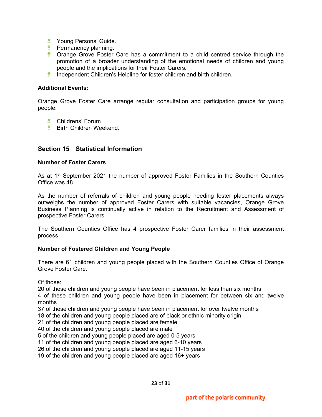- **Young Persons' Guide.**
- **Permanency planning.**
- **Crange Grove Foster Care has a commitment to a child centred service through the** promotion of a broader understanding of the emotional needs of children and young people and the implications for their Foster Carers.
- **Independent Children's Helpline for foster children and birth children.**

#### **Additional Events:**

Orange Grove Foster Care arrange regular consultation and participation groups for young people:

- Childrens' Forum
- **Birth Children Weekend.**

## **Section 15 Statistical Information**

#### **Number of Foster Carers**

As at  $1<sup>st</sup>$  September 2021 the number of approved Foster Families in the Southern Counties Office was 48

As the number of referrals of children and young people needing foster placements always outweighs the number of approved Foster Carers with suitable vacancies, Orange Grove Business Planning is continually active in relation to the Recruitment and Assessment of prospective Foster Carers.

The Southern Counties Office has 4 prospective Foster Carer families in their assessment process.

#### **Number of Fostered Children and Young People**

There are 61 children and young people placed with the Southern Counties Office of Orange Grove Foster Care.

Of those:

20 of these children and young people have been in placement for less than six months.

4 of these children and young people have been in placement for between six and twelve months

37 of these children and young people have been in placement for over twelve months

18 of the children and young people placed are of black or ethnic minority origin

21 of the children and young people placed are female

40 of the children and young people placed are male

5 of the children and young people placed are aged 0-5 years

11 of the children and young people placed are aged 6-10 years

26 of the children and young people placed are aged 11-15 years

19 of the children and young people placed are aged 16+ years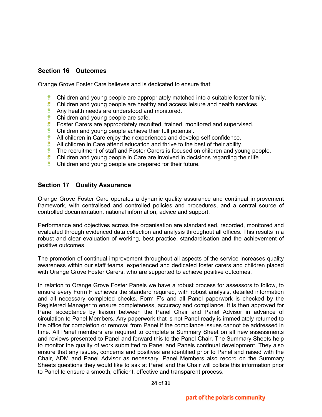## **Section 16 Outcomes**

Orange Grove Foster Care believes and is dedicated to ensure that:

- **Children and young people are appropriately matched into a suitable foster family.**
- $\bullet$  Children and young people are healthy and access leisure and health services.
- **Any health needs are understood and monitored.**
- **Children and young people are safe.**
- **EXEC** Foster Carers are appropriately recruited, trained, monitored and supervised.
- 壁 Children and young people achieve their full potential.
- All children in Care enjoy their experiences and develop self confidence.
- $\bullet$  All children in Care attend education and thrive to the best of their ability.
- The recruitment of staff and Foster Carers is focused on children and young people. 樂
- **Children and young people in Care are involved in decisions regarding their life.**
- $\bullet$  Children and young people are prepared for their future.

#### **Section 17 Quality Assurance**

Orange Grove Foster Care operates a dynamic quality assurance and continual improvement framework, with centralised and controlled policies and procedures, and a central source of controlled documentation, national information, advice and support.

Performance and objectives across the organisation are standardised, recorded, monitored and evaluated through evidenced data collection and analysis throughout all offices. This results in a robust and clear evaluation of working, best practice, standardisation and the achievement of positive outcomes.

The promotion of continual improvement throughout all aspects of the service increases quality awareness within our staff teams, experienced and dedicated foster carers and children placed with Orange Grove Foster Carers, who are supported to achieve positive outcomes.

In relation to Orange Grove Foster Panels we have a robust process for assessors to follow, to ensure every Form F achieves the standard required, with robust analysis, detailed information and all necessary completed checks. Form F's and all Panel paperwork is checked by the Registered Manager to ensure completeness, accuracy and compliance. It is then approved for Panel acceptance by liaison between the Panel Chair and Panel Advisor in advance of circulation to Panel Members. Any paperwork that is not Panel ready is immediately returned to the office for completion or removal from Panel if the compliance issues cannot be addressed in time. All Panel members are required to complete a Summary Sheet on all new assessments and reviews presented to Panel and forward this to the Panel Chair. The Summary Sheets help to monitor the quality of work submitted to Panel and Panels continual development. They also ensure that any issues, concerns and positives are identified prior to Panel and raised with the Chair, ADM and Panel Advisor as necessary. Panel Members also record on the Summary Sheets questions they would like to ask at Panel and the Chair will collate this information prior to Panel to ensure a smooth, efficient, effective and transparent process.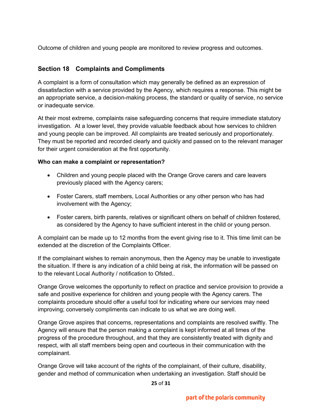Outcome of children and young people are monitored to review progress and outcomes.

## **Section 18 Complaints and Compliments**

A complaint is a form of consultation which may generally be defined as an expression of dissatisfaction with a service provided by the Agency, which requires a response. This might be an appropriate service, a decision-making process, the standard or quality of service, no service or inadequate service.

At their most extreme, complaints raise safeguarding concerns that require immediate statutory investigation. At a lower level, they provide valuable feedback about how services to children and young people can be improved. All complaints are treated seriously and proportionately. They must be reported and recorded clearly and quickly and passed on to the relevant manager for their urgent consideration at the first opportunity.

#### **Who can make a complaint or representation?**

- Children and young people placed with the Orange Grove carers and care leavers previously placed with the Agency carers;
- Foster Carers, staff members, Local Authorities or any other person who has had involvement with the Agency;
- Foster carers, birth parents, relatives or significant others on behalf of children fostered, as considered by the Agency to have sufficient interest in the child or young person.

A complaint can be made up to 12 months from the event giving rise to it. This time limit can be extended at the discretion of the Complaints Officer.

If the complainant wishes to remain anonymous, then the Agency may be unable to investigate the situation. If there is any indication of a child being at risk, the information will be passed on to the relevant Local Authority / notification to Ofsted..

Orange Grove welcomes the opportunity to reflect on practice and service provision to provide a safe and positive experience for children and young people with the Agency carers. The complaints procedure should offer a useful tool for indicating where our services may need improving; conversely compliments can indicate to us what we are doing well.

Orange Grove aspires that concerns, representations and complaints are resolved swiftly. The Agency will ensure that the person making a complaint is kept informed at all times of the progress of the procedure throughout, and that they are consistently treated with dignity and respect, with all staff members being open and courteous in their communication with the complainant.

Orange Grove will take account of the rights of the complainant, of their culture, disability, gender and method of communication when undertaking an investigation. Staff should be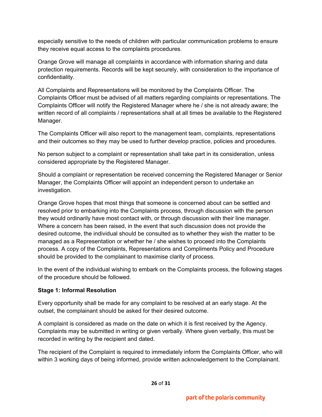especially sensitive to the needs of children with particular communication problems to ensure they receive equal access to the complaints procedures.

Orange Grove will manage all complaints in accordance with information sharing and data protection requirements. Records will be kept securely, with consideration to the importance of confidentiality.

All Complaints and Representations will be monitored by the Complaints Officer. The Complaints Officer must be advised of all matters regarding complaints or representations. The Complaints Officer will notify the Registered Manager where he / she is not already aware; the written record of all complaints / representations shall at all times be available to the Registered Manager.

The Complaints Officer will also report to the management team, complaints, representations and their outcomes so they may be used to further develop practice, policies and procedures.

No person subject to a complaint or representation shall take part in its consideration, unless considered appropriate by the Registered Manager.

Should a complaint or representation be received concerning the Registered Manager or Senior Manager, the Complaints Officer will appoint an independent person to undertake an investigation.

Orange Grove hopes that most things that someone is concerned about can be settled and resolved prior to embarking into the Complaints process, through discussion with the person they would ordinarily have most contact with, or through discussion with their line manager. Where a concern has been raised, in the event that such discussion does not provide the desired outcome, the individual should be consulted as to whether they wish the matter to be managed as a Representation or whether he / she wishes to proceed into the Complaints process. A copy of the Complaints, Representations and Compliments Policy and Procedure should be provided to the complainant to maximise clarity of process.

In the event of the individual wishing to embark on the Complaints process, the following stages of the procedure should be followed.

## **Stage 1: Informal Resolution**

Every opportunity shall be made for any complaint to be resolved at an early stage. At the outset, the complainant should be asked for their desired outcome.

A complaint is considered as made on the date on which it is first received by the Agency. Complaints may be submitted in writing or given verbally. Where given verbally, this must be recorded in writing by the recipient and dated.

The recipient of the Complaint is required to immediately inform the Complaints Officer, who will within 3 working days of being informed, provide written acknowledgement to the Complainant.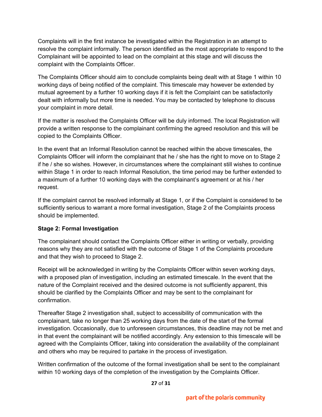Complaints will in the first instance be investigated within the Registration in an attempt to resolve the complaint informally. The person identified as the most appropriate to respond to the Complainant will be appointed to lead on the complaint at this stage and will discuss the complaint with the Complaints Officer.

The Complaints Officer should aim to conclude complaints being dealt with at Stage 1 within 10 working days of being notified of the complaint. This timescale may however be extended by mutual agreement by a further 10 working days if it is felt the Complaint can be satisfactorily dealt with informally but more time is needed. You may be contacted by telephone to discuss your complaint in more detail.

If the matter is resolved the Complaints Officer will be duly informed. The local Registration will provide a written response to the complainant confirming the agreed resolution and this will be copied to the Complaints Officer.

In the event that an Informal Resolution cannot be reached within the above timescales, the Complaints Officer will inform the complainant that he / she has the right to move on to Stage 2 if he / she so wishes. However, in circumstances where the complainant still wishes to continue within Stage 1 in order to reach Informal Resolution, the time period may be further extended to a maximum of a further 10 working days with the complainant's agreement or at his / her request.

If the complaint cannot be resolved informally at Stage 1, or if the Complaint is considered to be sufficiently serious to warrant a more formal investigation, Stage 2 of the Complaints process should be implemented.

## **Stage 2: Formal Investigation**

The complainant should contact the Complaints Officer either in writing or verbally, providing reasons why they are not satisfied with the outcome of Stage 1 of the Complaints procedure and that they wish to proceed to Stage 2.

Receipt will be acknowledged in writing by the Complaints Officer within seven working days, with a proposed plan of investigation, including an estimated timescale. In the event that the nature of the Complaint received and the desired outcome is not sufficiently apparent, this should be clarified by the Complaints Officer and may be sent to the complainant for confirmation.

Thereafter Stage 2 investigation shall, subject to accessibility of communication with the complainant, take no longer than 25 working days from the date of the start of the formal investigation. Occasionally, due to unforeseen circumstances, this deadline may not be met and in that event the complainant will be notified accordingly. Any extension to this timescale will be agreed with the Complaints Officer, taking into consideration the availability of the complainant and others who may be required to partake in the process of investigation.

Written confirmation of the outcome of the formal investigation shall be sent to the complainant within 10 working days of the completion of the investigation by the Complaints Officer.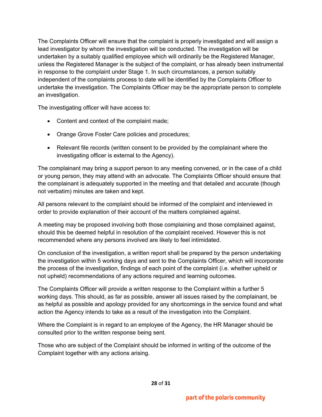The Complaints Officer will ensure that the complaint is properly investigated and will assign a lead investigator by whom the investigation will be conducted. The investigation will be undertaken by a suitably qualified employee which will ordinarily be the Registered Manager, unless the Registered Manager is the subject of the complaint, or has already been instrumental in response to the complaint under Stage 1. In such circumstances, a person suitably independent of the complaints process to date will be identified by the Complaints Officer to undertake the investigation. The Complaints Officer may be the appropriate person to complete an investigation.

The investigating officer will have access to:

- Content and context of the complaint made;
- Orange Grove Foster Care policies and procedures;
- Relevant file records (written consent to be provided by the complainant where the investigating officer is external to the Agency).

The complainant may bring a support person to any meeting convened, or in the case of a child or young person, they may attend with an advocate. The Complaints Officer should ensure that the complainant is adequately supported in the meeting and that detailed and accurate (though not verbatim) minutes are taken and kept.

All persons relevant to the complaint should be informed of the complaint and interviewed in order to provide explanation of their account of the matters complained against.

A meeting may be proposed involving both those complaining and those complained against, should this be deemed helpful in resolution of the complaint received. However this is not recommended where any persons involved are likely to feel intimidated.

On conclusion of the investigation, a written report shall be prepared by the person undertaking the investigation within 5 working days and sent to the Complaints Officer, which will incorporate the process of the investigation, findings of each point of the complaint (i.e. whether upheld or not upheld) recommendations of any actions required and learning outcomes.

The Complaints Officer will provide a written response to the Complaint within a further 5 working days. This should, as far as possible, answer all issues raised by the complainant, be as helpful as possible and apology provided for any shortcomings in the service found and what action the Agency intends to take as a result of the investigation into the Complaint.

Where the Complaint is in regard to an employee of the Agency, the HR Manager should be consulted prior to the written response being sent.

Those who are subject of the Complaint should be informed in writing of the outcome of the Complaint together with any actions arising.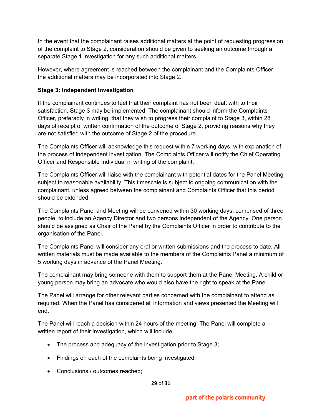In the event that the complainant raises additional matters at the point of requesting progression of the complaint to Stage 2, consideration should be given to seeking an outcome through a separate Stage 1 investigation for any such additional matters.

However, where agreement is reached between the complainant and the Complaints Officer, the additional matters may be incorporated into Stage 2.

## **Stage 3: Independent Investigation**

If the complainant continues to feel that their complaint has not been dealt with to their satisfaction, Stage 3 may be implemented. The complainant should inform the Complaints Officer, preferably in writing, that they wish to progress their complaint to Stage 3, within 28 days of receipt of written confirmation of the outcome of Stage 2, providing reasons why they are not satisfied with the outcome of Stage 2 of the procedure.

The Complaints Officer will acknowledge this request within 7 working days, with explanation of the process of independent investigation. The Complaints Officer will notify the Chief Operating Officer and Responsible Individual in writing of the complaint.

The Complaints Officer will liaise with the complainant with potential dates for the Panel Meeting subject to reasonable availability. This timescale is subject to ongoing communication with the complainant, unless agreed between the complainant and Complaints Officer that this period should be extended.

The Complaints Panel and Meeting will be convened within 30 working days, comprised of three people, to include an Agency Director and two persons independent of the Agency. One person should be assigned as Chair of the Panel by the Complaints Officer in order to contribute to the organisation of the Panel.

The Complaints Panel will consider any oral or written submissions and the process to date. All written materials must be made available to the members of the Complaints Panel a minimum of 5 working days in advance of the Panel Meeting.

The complainant may bring someone with them to support them at the Panel Meeting. A child or young person may bring an advocate who would also have the right to speak at the Panel.

The Panel will arrange for other relevant parties concerned with the complainant to attend as required. When the Panel has considered all information and views presented the Meeting will end.

The Panel will reach a decision within 24 hours of the meeting. The Panel will complete a written report of their investigation, which will include:

- The process and adequacy of the investigation prior to Stage 3;
- Findings on each of the complaints being investigated;
- Conclusions / outcomes reached;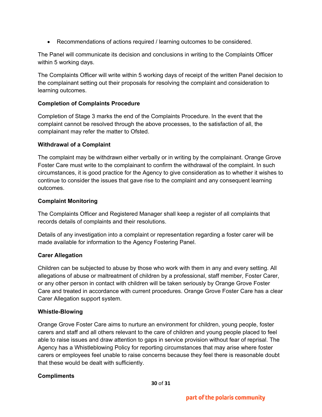• Recommendations of actions required / learning outcomes to be considered.

The Panel will communicate its decision and conclusions in writing to the Complaints Officer within 5 working days.

The Complaints Officer will write within 5 working days of receipt of the written Panel decision to the complainant setting out their proposals for resolving the complaint and consideration to learning outcomes.

## **Completion of Complaints Procedure**

Completion of Stage 3 marks the end of the Complaints Procedure. In the event that the complaint cannot be resolved through the above processes, to the satisfaction of all, the complainant may refer the matter to Ofsted.

## **Withdrawal of a Complaint**

The complaint may be withdrawn either verbally or in writing by the complainant. Orange Grove Foster Care must write to the complainant to confirm the withdrawal of the complaint. In such circumstances, it is good practice for the Agency to give consideration as to whether it wishes to continue to consider the issues that gave rise to the complaint and any consequent learning outcomes.

#### **Complaint Monitoring**

The Complaints Officer and Registered Manager shall keep a register of all complaints that records details of complaints and their resolutions.

Details of any investigation into a complaint or representation regarding a foster carer will be made available for information to the Agency Fostering Panel.

## **Carer Allegation**

Children can be subjected to abuse by those who work with them in any and every setting. All allegations of abuse or maltreatment of children by a professional, staff member, Foster Carer, or any other person in contact with children will be taken seriously by Orange Grove Foster Care and treated in accordance with current procedures. Orange Grove Foster Care has a clear Carer Allegation support system.

## **Whistle-Blowing**

Orange Grove Foster Care aims to nurture an environment for children, young people, foster carers and staff and all others relevant to the care of children and young people placed to feel able to raise issues and draw attention to gaps in service provision without fear of reprisal. The Agency has a Whistleblowing Policy for reporting circumstances that may arise where foster carers or employees feel unable to raise concerns because they feel there is reasonable doubt that these would be dealt with sufficiently.

## **Compliments**